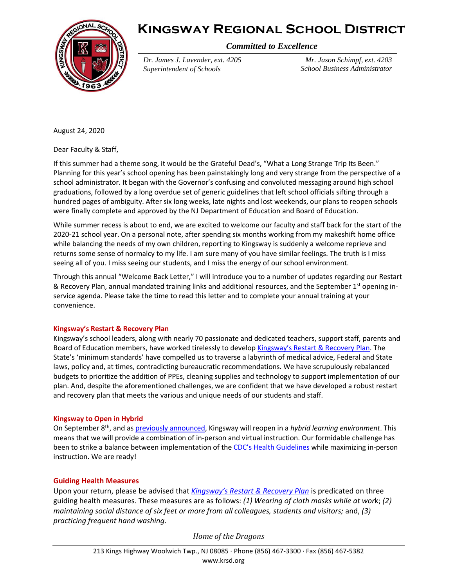



*Committed to Excellence*

*Dr. James J. Lavender, ext. 4205 Superintendent of Schools*

*Mr. Jason Schimpf, ext. 4203 School Business Administrator*

August 24, 2020

Dear Faculty & Staff,

If this summer had a theme song, it would be the Grateful Dead's, "What a Long Strange Trip Its Been." Planning for this year's school opening has been painstakingly long and very strange from the perspective of a school administrator. It began with the Governor's confusing and convoluted messaging around high school graduations, followed by a long overdue set of generic guidelines that left school officials sifting through a hundred pages of ambiguity. After six long weeks, late nights and lost weekends, our plans to reopen schools were finally complete and approved by the NJ Department of Education and Board of Education.

While summer recess is about to end, we are excited to welcome our faculty and staff back for the start of the 2020-21 school year. On a personal note, after spending six months working from my makeshift home office while balancing the needs of my own children, reporting to Kingsway is suddenly a welcome reprieve and returns some sense of normalcy to my life. I am sure many of you have similar feelings. The truth is I miss seeing all of you. I miss seeing our students, and I miss the energy of our school environment.

Through this annual "Welcome Back Letter," I will introduce you to a number of updates regarding our Restart & Recovery Plan, annual mandated training links and additional resources, and the September 1<sup>st</sup> opening inservice agenda. Please take the time to read this letter and to complete your annual training at your convenience.

#### **Kingsway's Restart & Recovery Plan**

Kingsway's school leaders, along with nearly 70 passionate and dedicated teachers, support staff, parents and Board of Education members, have worked tirelessly to develop [Kingsway's Restart & Recovery Plan](https://www.krsd.org/cms/lib/NJ01912751/Centricity/Domain/121/Kingsway%20Reopening%20Plan%208.3.2020.pdf). The State's 'minimum standards' have compelled us to traverse a labyrinth of medical advice, Federal and State laws, policy and, at times, contradicting bureaucratic recommendations. We have scrupulously rebalanced budgets to prioritize the addition of PPEs, cleaning supplies and technology to support implementation of our plan. And, despite the aforementioned challenges, we are confident that we have developed a robust restart and recovery plan that meets the various and unique needs of our students and staff.

#### **Kingsway to Open in Hybrid**

On September 8th, and a[s previously announced,](https://www.krsd.org/cms/lib/NJ01912751/Centricity/Domain/121/Preliminary%20KR%20Reopen%20Plan%20Super%207.23.20.pdf) Kingsway will reopen in a *hybrid learning environment*. This means that we will provide a combination of in-person and virtual instruction. Our formidable challenge has been to strike a balance between implementation of the [CDC's Health Guidelines](https://www.cdc.gov/coronavirus/2019-ncov/prevent-getting-sick/prevention.html) while maximizing in-person instruction. We are ready!

### **Guiding Health Measures**

Upon your return, please be advised that *[Kingsway's Restart & Recovery Plan](https://www.krsd.org/cms/lib/NJ01912751/Centricity/Domain/121/Kingsway%20Reopening%20Plan%208.3.2020.pdf)* is predicated on three guiding health measures. These measures are as follows: *(1) Wearing of cloth masks while at wor*k; *(2) maintaining social distance of six feet or more from all colleagues, students and visitors;* and, *(3) practicing frequent hand washing*.

*Home of the Dragons*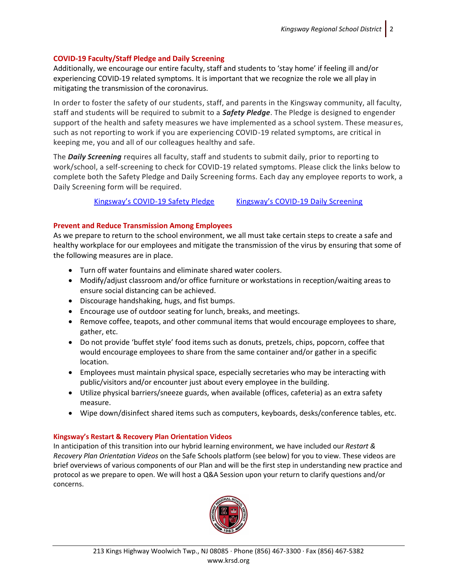## **COVID-19 Faculty/Staff Pledge and Daily Screening**

Additionally, we encourage our entire faculty, staff and students to 'stay home' if feeling ill and/or experiencing COVID-19 related symptoms. It is important that we recognize the role we all play in mitigating the transmission of the coronavirus.

In order to foster the safety of our students, staff, and parents in the Kingsway community, all faculty, staff and students will be required to submit to a *Safety Pledge*. The Pledge is designed to engender support of the health and safety measures we have implemented as a school system. These measures, such as not reporting to work if you are experiencing COVID-19 related symptoms, are critical in keeping me, you and all of our colleagues healthy and safe.

The *Daily Screening* requires all faculty, staff and students to submit daily, prior to reporting to work/school, a self-screening to check for COVID-19 related symptoms. Please click the links below to complete both the Safety Pledge and Daily Screening forms. Each day any employee reports to work, a Daily Screening form will be required.

[Kingsway's COVID](https://docs.google.com/forms/d/e/1FAIpQLSfBi4g2VG06luScSq_JAMdND2BjSuTKQUrYQrh9enEbgNpaSA/viewform)-19 Safety Pledge Kingsway's COVID[-19 Daily Screening](http://www.krsd.org/FacultyScreening)

# **Prevent and Reduce Transmission Among Employees**

As we prepare to return to the school environment, we all must take certain steps to create a safe and healthy workplace for our employees and mitigate the transmission of the virus by ensuring that some of the following measures are in place.

- Turn off water fountains and eliminate shared water coolers.
- Modify/adjust classroom and/or office furniture or workstations in reception/waiting areas to ensure social distancing can be achieved.
- Discourage handshaking, hugs, and fist bumps.
- Encourage use of outdoor seating for lunch, breaks, and meetings.
- Remove coffee, teapots, and other communal items that would encourage employees to share, gather, etc.
- Do not provide 'buffet style' food items such as donuts, pretzels, chips, popcorn, coffee that would encourage employees to share from the same container and/or gather in a specific location.
- Employees must maintain physical space, especially secretaries who may be interacting with public/visitors and/or encounter just about every employee in the building.
- Utilize physical barriers/sneeze guards, when available (offices, cafeteria) as an extra safety measure.
- Wipe down/disinfect shared items such as computers, keyboards, desks/conference tables, etc.

### **Kingsway's Restart & Recovery Plan Orientation Videos**

In anticipation of this transition into our hybrid learning environment, we have included our *Restart & Recovery Plan Orientation Videos* on the Safe Schools platform (see below) for you to view. These videos are brief overviews of various components of our Plan and will be the first step in understanding new practice and protocol as we prepare to open. We will host a Q&A Session upon your return to clarify questions and/or concerns.